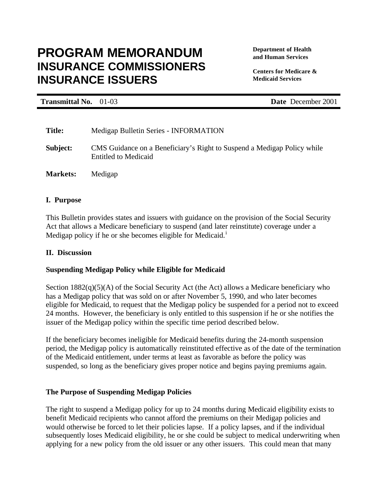# **Department of Health PROGRAM MEMORANDUM and Human Services INSURANCE COMMISSIONERS** *Centers for Medicare &* **INSURANCE ISSUERS Medicaid Services**

**Transmittal No.** 01-03 **Date** December 2001

| <b>Title:</b>   | Medigap Bulletin Series - INFORMATION                                                                  |
|-----------------|--------------------------------------------------------------------------------------------------------|
| Subject:        | CMS Guidance on a Beneficiary's Right to Suspend a Medigap Policy while<br><b>Entitled to Medicaid</b> |
| <b>Markets:</b> | Medigap                                                                                                |

# **I. Purpose**

This Bulletin provides states and issuers with guidance on the provision of the Social Security Act that allows a Medicare beneficiary to suspend (and later reinstitute) coverage under a Medigap policy if he or she becomes eligible for Medicaid.<sup>1</sup>

# **II. Discussion**

# **Suspending Medigap Policy while Eligible for Medicaid**

Section 1882(q)(5)(A) of the Social Security Act (the Act) allows a Medicare beneficiary who has a Medigap policy that was sold on or after November 5, 1990, and who later becomes eligible for Medicaid, to request that the Medigap policy be suspended for a period not to exceed 24 months. However, the beneficiary is only entitled to this suspension if he or she notifies the issuer of the Medigap policy within the specific time period described below.

If the beneficiary becomes ineligible for Medicaid benefits during the 24-month suspension period, the Medigap policy is automatically reinstituted effective as of the date of the termination of the Medicaid entitlement, under terms at least as favorable as before the policy was suspended, so long as the beneficiary gives proper notice and begins paying premiums again.

# **The Purpose of Suspending Medigap Policies**

The right to suspend a Medigap policy for up to 24 months during Medicaid eligibility exists to benefit Medicaid recipients who cannot afford the premiums on their Medigap policies and would otherwise be forced to let their policies lapse. If a policy lapses, and if the individual subsequently loses Medicaid eligibility, he or she could be subject to medical underwriting when applying for a new policy from the old issuer or any other issuers. This could mean that many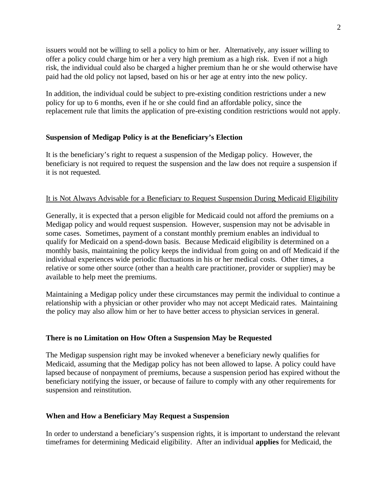issuers would not be willing to sell a policy to him or her. Alternatively, any issuer willing to offer a policy could charge him or her a very high premium as a high risk. Even if not a high risk, the individual could also be charged a higher premium than he or she would otherwise have paid had the old policy not lapsed, based on his or her age at entry into the new policy.

In addition, the individual could be subject to pre-existing condition restrictions under a new policy for up to 6 months, even if he or she could find an affordable policy, since the replacement rule that limits the application of pre-existing condition restrictions would not apply.

## **Suspension of Medigap Policy is at the Beneficiary's Election**

It is the beneficiary's right to request a suspension of the Medigap policy. However, the beneficiary is not required to request the suspension and the law does not require a suspension if it is not requested.

## It is Not Always Advisable for a Beneficiary to Request Suspension During Medicaid Eligibility

Generally, it is expected that a person eligible for Medicaid could not afford the premiums on a Medigap policy and would request suspension. However, suspension may not be advisable in some cases. Sometimes, payment of a constant monthly premium enables an individual to qualify for Medicaid on a spend-down basis. Because Medicaid eligibility is determined on a monthly basis, maintaining the policy keeps the individual from going on and off Medicaid if the individual experiences wide periodic fluctuations in his or her medical costs. Other times, a relative or some other source (other than a health care practitioner, provider or supplier) may be available to help meet the premiums.

Maintaining a Medigap policy under these circumstances may permit the individual to continue a relationship with a physician or other provider who may not accept Medicaid rates. Maintaining the policy may also allow him or her to have better access to physician services in general.

#### **There is no Limitation on How Often a Suspension May be Requested**

The Medigap suspension right may be invoked whenever a beneficiary newly qualifies for Medicaid, assuming that the Medigap policy has not been allowed to lapse. A policy could have lapsed because of nonpayment of premiums, because a suspension period has expired without the beneficiary notifying the issuer, or because of failure to comply with any other requirements for suspension and reinstitution.

#### **When and How a Beneficiary May Request a Suspension**

In order to understand a beneficiary's suspension rights, it is important to understand the relevant timeframes for determining Medicaid eligibility. After an individual **applies** for Medicaid, the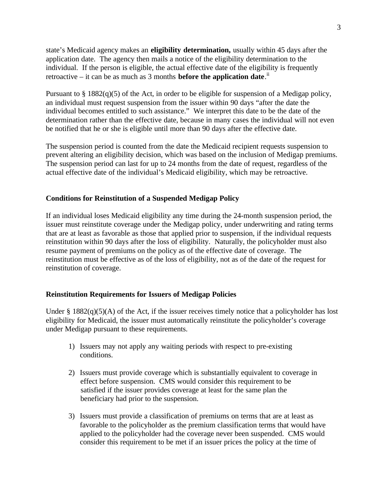state's Medicaid agency makes an **eligibility determination,** usually within 45 days after the application date. The agency then mails a notice of the eligibility determination to the individual. If the person is eligible, the actual effective date of the eligibility is frequently retroactive – it can be as much as 3 months **before the application date**.<sup>ii</sup>

Pursuant to § 1882(q)(5) of the Act, in order to be eligible for suspension of a Medigap policy, an individual must request suspension from the issuer within 90 days "after the date the individual becomes entitled to such assistance." We interpret this date to be the date of the determination rather than the effective date, because in many cases the individual will not even be notified that he or she is eligible until more than 90 days after the effective date.

The suspension period is counted from the date the Medicaid recipient requests suspension to prevent altering an eligibility decision, which was based on the inclusion of Medigap premiums. The suspension period can last for up to 24 months from the date of request, regardless of the actual effective date of the individual's Medicaid eligibility, which may be retroactive.

## **Conditions for Reinstitution of a Suspended Medigap Policy**

If an individual loses Medicaid eligibility any time during the 24-month suspension period, the issuer must reinstitute coverage under the Medigap policy, under underwriting and rating terms that are at least as favorable as those that applied prior to suspension, if the individual requests reinstitution within 90 days after the loss of eligibility. Naturally, the policyholder must also resume payment of premiums on the policy as of the effective date of coverage. The reinstitution must be effective as of the loss of eligibility, not as of the date of the request for reinstitution of coverage.

#### **Reinstitution Requirements for Issuers of Medigap Policies**

Under §  $1882(q)(5)(A)$  of the Act, if the issuer receives timely notice that a policyholder has lost eligibility for Medicaid, the issuer must automatically reinstitute the policyholder's coverage under Medigap pursuant to these requirements.

- 1) Issuers may not apply any waiting periods with respect to pre-existing conditions.
- 2) Issuers must provide coverage which is substantially equivalent to coverage in effect before suspension. CMS would consider this requirement to be satisfied if the issuer provides coverage at least for the same plan the beneficiary had prior to the suspension.
- 3) Issuers must provide a classification of premiums on terms that are at least as favorable to the policyholder as the premium classification terms that would have applied to the policyholder had the coverage never been suspended. CMS would consider this requirement to be met if an issuer prices the policy at the time of